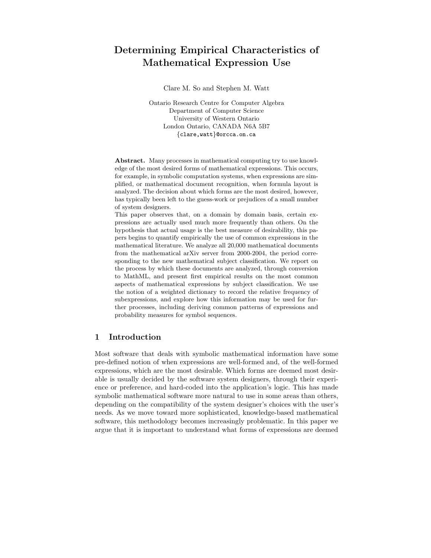# **Determining Empirical Characteristics of Mathematical Expression Use**

Clare M. So and Stephen M. Watt

Ontario Research Centre for Computer Algebra Department of Computer Science University of Western Ontario London Ontario, CANADA N6A 5B7 {clare,watt}@orcca.on.ca

**Abstract.** Many processes in mathematical computing try to use knowledge of the most desired forms of mathematical expressions. This occurs, for example, in symbolic computation systems, when expressions are simplified, or mathematical document recognition, when formula layout is analyzed. The decision about which forms are the most desired, however, has typically been left to the guess-work or prejudices of a small number of system designers.

This paper observes that, on a domain by domain basis, certain expressions are actually used much more frequently than others. On the hypothesis that actual usage is the best measure of desirability, this papers begins to quantify empirically the use of common expressions in the mathematical literature. We analyze all 20,000 mathematical documents from the mathematical arXiv server from 2000-2004, the period corresponding to the new mathematical subject classification. We report on the process by which these documents are analyzed, through conversion to MathML, and present first empirical results on the most common aspects of mathematical expressions by subject classification. We use the notion of a weighted dictionary to record the relative frequency of subexpressions, and explore how this information may be used for further processes, including deriving common patterns of expressions and probability measures for symbol sequences.

## **1 Introduction**

Most software that deals with symbolic mathematical information have some pre-defined notion of when expressions are well-formed and, of the well-formed expressions, which are the most desirable. Which forms are deemed most desirable is usually decided by the software system designers, through their experience or preference, and hard-coded into the application's logic. This has made symbolic mathematical software more natural to use in some areas than others, depending on the compatibility of the system designer's choices with the user's needs. As we move toward more sophisticated, knowledge-based mathematical software, this methodology becomes increasingly problematic. In this paper we argue that it is important to understand what forms of expressions are deemed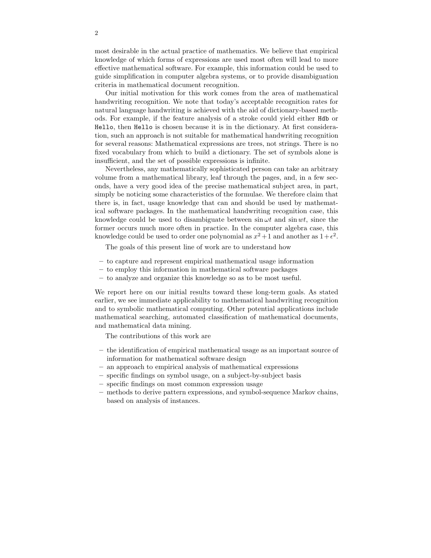most desirable in the actual practice of mathematics. We believe that empirical knowledge of which forms of expressions are used most often will lead to more effective mathematical software. For example, this information could be used to guide simplification in computer algebra systems, or to provide disambiguation criteria in mathematical document recognition.

Our initial motivation for this work comes from the area of mathematical handwriting recognition. We note that today's acceptable recognition rates for natural language handwriting is achieved with the aid of dictionary-based methods. For example, if the feature analysis of a stroke could yield either Hdb or Hello, then Hello is chosen because it is in the dictionary. At first consideration, such an approach is not suitable for mathematical handwriting recognition for several reasons: Mathematical expressions are trees, not strings. There is no fixed vocabulary from which to build a dictionary. The set of symbols alone is insufficient, and the set of possible expressions is infinite.

Nevertheless, any mathematically sophisticated person can take an arbitrary volume from a mathematical library, leaf through the pages, and, in a few seconds, have a very good idea of the precise mathematical subject area, in part, simply be noticing some characteristics of the formulae. We therefore claim that there is, in fact, usage knowledge that can and should be used by mathematical software packages. In the mathematical handwriting recognition case, this knowledge could be used to disambiguate between  $\sin \omega t$  and  $\sin wt$ , since the former occurs much more often in practice. In the computer algebra case, this knowledge could be used to order one polynomial as  $x^2 + 1$  and another as  $1 + \epsilon^2$ .

The goals of this present line of work are to understand how

- **–** to capture and represent empirical mathematical usage information
- **–** to employ this information in mathematical software packages
- **–** to analyze and organize this knowledge so as to be most useful.

We report here on our initial results toward these long-term goals. As stated earlier, we see immediate applicability to mathematical handwriting recognition and to symbolic mathematical computing. Other potential applications include mathematical searching, automated classification of mathematical documents, and mathematical data mining.

The contributions of this work are

- **–** the identification of empirical mathematical usage as an important source of information for mathematical software design
- **–** an approach to empirical analysis of mathematical expressions
- **–** specific findings on symbol usage, on a subject-by-subject basis
- **–** specific findings on most common expression usage
- **–** methods to derive pattern expressions, and symbol-sequence Markov chains, based on analysis of instances.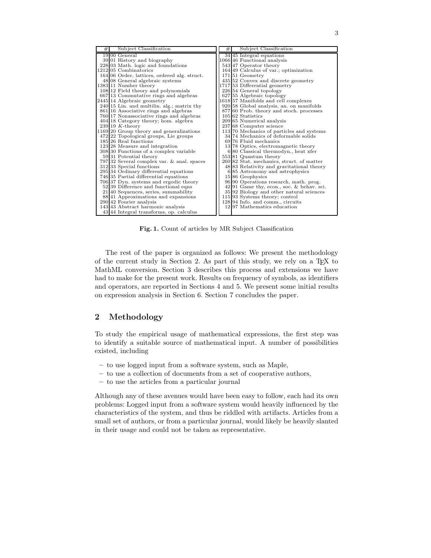| # | Subject Classification                       | # | Subject Classification                          |
|---|----------------------------------------------|---|-------------------------------------------------|
|   | 1900 General                                 |   | 34 45 Integral equations                        |
|   | 39 01 History and biography                  |   | 1066 46 Functional analysis                     |
|   | 228 03 Math. logic and foundations           |   | 543 47 Operator theory                          |
|   | 1212 05 Combinatorics                        |   | 164 49 Calculus of var.; optimization           |
|   | 164 06 Order, lattices, ordered alg. struct. |   | 17151 Geometry                                  |
|   | 48 08 General algebraic systems              |   | 435 52 Convex and discrete geometry             |
|   | 1383 11 Number theory                        |   | 1717 53 Differential geometry                   |
|   | 108 12 Field theory and polynomials          |   | 226 54 General topology                         |
|   | 667 13 Commutative rings and algebras        |   | 627 55 Algebraic topology                       |
|   | 2445 14 Algebraic geometry                   |   | 1618 57 Manifolds and cell complexes            |
|   | $240 15$ Lin. and multilin. alg.; matrix thy |   | 920 58 Global analysis, an. on manifolds        |
|   | 861 16 Associative rings and algebras        |   | 877 60 Prob. theory and stoch. processes        |
|   | 760 17 Nonassociative rings and algebras     |   | 105 62 Statistics                               |
|   | 404 18 Category theory; hom. algebra         |   | 209 65 Numerical analysis                       |
|   | 239 19 $K$ -theory                           |   | 237 68 Computer science                         |
|   | 1169 20 Group theory and generalizations     |   | 113 70 Mechanics of particles and systems       |
|   | 472 22 Topological groups, Lie groups        |   | 34 74 Mechanics of deformable solids            |
|   | 185 26 Real functions                        |   | 69 76 Fluid mechanics                           |
|   | 123 28 Measure and integration               |   | 13 <sup>78</sup> Optics, electromagnetic theory |
|   | 308 30 Functions of a complex variable       |   | 6 80 Classical thermodyn., heat xfer            |
|   | 59 31 Potential theory                       |   | 553 81 Quantum theory                           |
|   | 797 32 Several complex var. & anal. spaces   |   | 260 82 Stat. mechanics, struct. of matter       |
|   | 312 33 Special functions                     |   | 48 83 Relativity and gravitational theory       |
|   | 295 34 Ordinary differential equations       |   | 6 85 Astronomy and astrophysics                 |
|   | 746 35 Partial differential equations        |   | 15 86 Geophysics                                |
|   | 706 37 Dyn. systems and ergodic theory       |   | 96 90 Operations research, math. prog.          |
|   | 52 39 Difference and functional eqns         |   | 42 91 Game thy, econ., soc. & behav. sci.       |
|   | 21 40 Sequences, series, summability         |   | 35 92 Biology and other natural sciences        |
|   | 88.41 Approximations and expansions          |   | 115 93 Systems theory; control                  |
|   | 290 42 Fourier analysis                      |   | 128 94 Info. and comm., circuits                |
|   | 143 43 Abstract harmonic analysis            |   | 1297 Mathematics education                      |
|   | 43.44 Integral transforms, op. calculus      |   |                                                 |

**Fig. 1.** Count of articles by MR Subject Classification

The rest of the paper is organized as follows: We present the methodology of the current study in Section 2. As part of this study, we rely on a TEX to MathML conversion. Section 3 describes this process and extensions we have had to make for the present work. Results on frequency of symbols, as identifiers and operators, are reported in Sections 4 and 5. We present some initial results on expression analysis in Section 6. Section 7 concludes the paper.

## **2 Methodology**

To study the empirical usage of mathematical expressions, the first step was to identify a suitable source of mathematical input. A number of possibilities existed, including

- **–** to use logged input from a software system, such as Maple,
- **–** to use a collection of documents from a set of cooperative authors,
- **–** to use the articles from a particular journal

Although any of these avenues would have been easy to follow, each had its own problems: Logged input from a software system would heavily influenced by the characteristics of the system, and thus be riddled with artifacts. Articles from a small set of authors, or from a particular journal, would likely be heavily slanted in their usage and could not be taken as representative.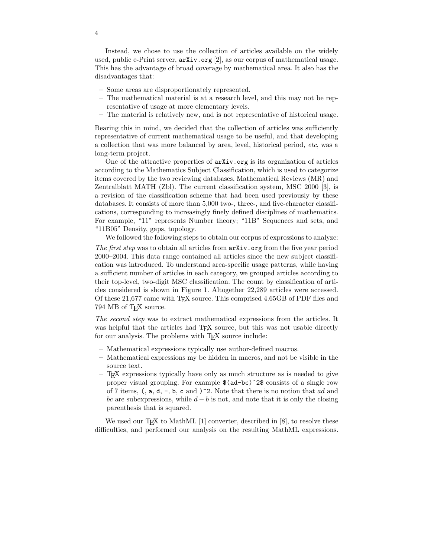Instead, we chose to use the collection of articles available on the widely used, public e-Print server, arXiv.org [2], as our corpus of mathematical usage. This has the advantage of broad coverage by mathematical area. It also has the disadvantages that:

- **–** Some areas are disproportionately represented.
- **–** The mathematical material is at a research level, and this may not be representative of usage at more elementary levels.
- **–** The material is relatively new, and is not representative of historical usage.

Bearing this in mind, we decided that the collection of articles was sufficiently representative of current mathematical usage to be useful, and that developing a collection that was more balanced by area, level, historical period, *etc*, was a long-term project.

One of the attractive properties of  $arXiv.org$  is its organization of articles according to the Mathematics Subject Classification, which is used to categorize items covered by the two reviewing databases, Mathematical Reviews (MR) and Zentralblatt MATH (Zbl). The current classification system, MSC 2000 [3], is a revision of the classification scheme that had been used previously by these databases. It consists of more than 5,000 two-, three-, and five-character classifications, corresponding to increasingly finely defined disciplines of mathematics. For example, "11" represents Number theory; "11B" Sequences and sets, and "11B05" Density, gaps, topology.

We followed the following steps to obtain our corpus of expressions to analyze: *The first step* was to obtain all articles from  $\arXiv.org$  from the five year period 2000–2004. This data range contained all articles since the new subject classification was introduced. To understand area-specific usage patterns, while having a sufficient number of articles in each category, we grouped articles according to their top-level, two-digit MSC classification. The count by classification of articles considered is shown in Figure 1. Altogether 22,289 articles were accessed. Of these 21,677 came with T<sub>E</sub>X source. This comprised 4.65GB of PDF files and 794 MB of TEX source.

*The second step* was to extract mathematical expressions from the articles. It was helpful that the articles had TEX source, but this was not usable directly for our analysis. The problems with T<sub>E</sub>X source include:

- **–** Mathematical expressions typically use author-defined macros.
- **–** Mathematical expressions my be hidden in macros, and not be visible in the source text.
- **–** TEX expressions typically have only as much structure as is needed to give proper visual grouping. For example \$(ad-bc)^2\$ consists of a single row of 7 items,  $(a, d, -1, b, c, d)$   $\hat{ }$  2. Note that there is no notion that ad and bc are subexpressions, while  $d - b$  is not, and note that it is only the closing parenthesis that is squared.

We used our T<sub>E</sub>X to MathML  $[1]$  converter, described in  $[8]$ , to resolve these difficulties, and performed our analysis on the resulting MathML expressions.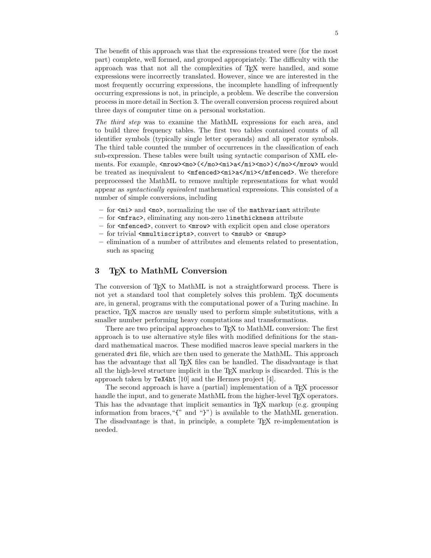The benefit of this approach was that the expressions treated were (for the most part) complete, well formed, and grouped appropriately. The difficulty with the approach was that not all the complexities of TEX were handled, and some expressions were incorrectly translated. However, since we are interested in the most frequently occurring expressions, the incomplete handling of infrequently occurring expressions is not, in principle, a problem. We describe the conversion process in more detail in Section 3. The overall conversion process required about three days of computer time on a personal workstation.

*The third step* was to examine the MathML expressions for each area, and to build three frequency tables. The first two tables contained counts of all identifier symbols (typically single letter operands) and all operator symbols. The third table counted the number of occurrences in the classification of each sub-expression. These tables were built using syntactic comparison of XML elements. For example, < $m \infty$ </br/>mo>(</mo><mi>a</mi><mo>)</mo></mrow> would be treated as inequivalent to  $\langle m \rangle \langle m \rangle > \langle m \rangle$  and  $\langle m \rangle$  and  $\langle m \rangle$ . We therefore preprocessed the MathML to remove multiple representations for what would appear as *syntactically equivalent* mathematical expressions. This consisted of a number of simple conversions, including

- **–** for <mi> and <mo>, normalizing the use of the mathvariant attribute
- **–** for <mfrac>, eliminating any non-zero linethickness attribute
- **–** for <mfenced>, convert to <mrow> with explicit open and close operators
- **–** for trivial <mmultiscripts>, convert to <msub> or <msup>
- **–** elimination of a number of attributes and elements related to presentation, such as spacing

## **3 TEX to MathML Conversion**

The conversion of T<sub>EX</sub> to MathML is not a straightforward process. There is not yet a standard tool that completely solves this problem. TEX documents are, in general, programs with the computational power of a Turing machine. In practice, TEX macros are usually used to perform simple substitutions, with a smaller number performing heavy computations and transformations.

There are two principal approaches to T<sub>EX</sub> to MathML conversion: The first approach is to use alternative style files with modified definitions for the standard mathematical macros. These modified macros leave special markers in the generated dvi file, which are then used to generate the MathML. This approach has the advantage that all T<sub>EX</sub> files can be handled. The disadvantage is that all the high-level structure implicit in the TEX markup is discarded. This is the approach taken by TeX4ht [10] and the Hermes project [4].

The second approach is have a (partial) implementation of a T<sub>E</sub>X processor handle the input, and to generate MathML from the higher-level T<sub>E</sub>X operators. This has the advantage that implicit semantics in TEX markup (e.g. grouping information from braces,"{" and "}") is available to the MathML generation. The disadvantage is that, in principle, a complete T<sub>E</sub>X re-implementation is needed.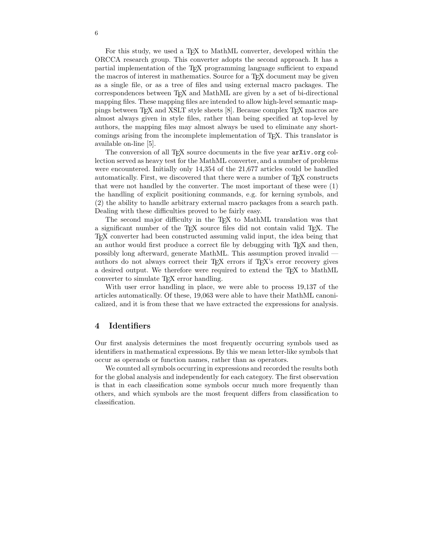For this study, we used a T<sub>EX</sub> to MathML converter, developed within the ORCCA research group. This converter adopts the second approach. It has a partial implementation of the TEX programming language sufficient to expand the macros of interest in mathematics. Source for a TEX document may be given as a single file, or as a tree of files and using external macro packages. The correspondences between T<sub>E</sub>X and MathML are given by a set of bi-directional mapping files. These mapping files are intended to allow high-level semantic mappings between T<sub>E</sub>X and XSLT style sheets [8]. Because complex T<sub>E</sub>X macros are almost always given in style files, rather than being specified at top-level by authors, the mapping files may almost always be used to eliminate any shortcomings arising from the incomplete implementation of T<sub>E</sub>X. This translator is available on-line [5].

The conversion of all T<sub>EX</sub> source documents in the five year  $arXiv.org$  collection served as heavy test for the MathML converter, and a number of problems were encountered. Initially only 14,354 of the 21,677 articles could be handled automatically. First, we discovered that there were a number of T<sub>E</sub>X constructs that were not handled by the converter. The most important of these were (1) the handling of explicit positioning commands, e.g. for kerning symbols, and (2) the ability to handle arbitrary external macro packages from a search path. Dealing with these difficulties proved to be fairly easy.

The second major difficulty in the TEX to MathML translation was that a significant number of the T<sub>EX</sub> source files did not contain valid T<sub>EX</sub>. The TEX converter had been constructed assuming valid input, the idea being that an author would first produce a correct file by debugging with T<sub>EX</sub> and then, possibly long afterward, generate MathML. This assumption proved invalid authors do not always correct their TEX errors if TEX's error recovery gives a desired output. We therefore were required to extend the TEX to MathML converter to simulate T<sub>E</sub>X error handling.

With user error handling in place, we were able to process 19,137 of the articles automatically. Of these, 19,063 were able to have their MathML canonicalized, and it is from these that we have extracted the expressions for analysis.

## **4 Identifiers**

Our first analysis determines the most frequently occurring symbols used as identifiers in mathematical expressions. By this we mean letter-like symbols that occur as operands or function names, rather than as operators.

We counted all symbols occurring in expressions and recorded the results both for the global analysis and independently for each category. The first observation is that in each classification some symbols occur much more frequently than others, and which symbols are the most frequent differs from classification to classification.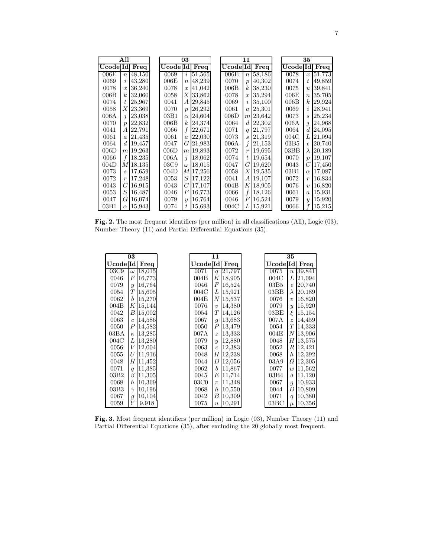|          | All                         |          |                 | 03               |        |                 | 11                          |        | 35                            |                   |        |
|----------|-----------------------------|----------|-----------------|------------------|--------|-----------------|-----------------------------|--------|-------------------------------|-------------------|--------|
| Ucode Id |                             | Freq     | <b>Ucode</b> Id |                  | Freq   | UcodelId        |                             | Freq   | $\boldsymbol{\mathrm{Ucode}}$ |                   | Freq   |
| 006E     | $\boldsymbol{n}$            | 48,150   | 0069            | i                | 51,565 | $006\mathrm{E}$ | $\boldsymbol{n}$            | 58,186 | 0078                          | $\boldsymbol{x}$  | 51,773 |
| 0069     | I.                          | 43,280   | $006\mathrm{E}$ | $\boldsymbol{n}$ | 48,239 | 0070            | $\mathcal{p}$               | 40,302 | 0074                          | t                 | 49,859 |
| 0078     | $\boldsymbol{x}$            | 36,240   | 0078            | $\boldsymbol{x}$ | 41,042 | 006B            | $\boldsymbol{k}$            | 38,230 | 0075                          | $\boldsymbol{u}$  | 39,841 |
| 006B     | $\boldsymbol{k}$            | 32,060   | 0058            | Х                | 33,862 | 0078            | $\overline{x}$              | 35,294 | 006E                          | $\boldsymbol{n}$  | 35,705 |
| 0074     | t                           | 25,967   | 0041            | А                | 29,845 | 0069            | $\boldsymbol{\eta}$         | 35,100 | 006B                          | $\boldsymbol{k}$  | 29,924 |
| 0058     | Х                           | 23,369   | 0070            | $\boldsymbol{p}$ | 26,292 | 0061            | $\alpha$                    | 25,301 | 0069                          | Ź.                | 28,941 |
| 006A     | $\overline{\mathfrak{p}}$   | 23,038   | 03B1            | $\alpha$         | 24,604 | 006D            | $_{m}$                      | 23,642 | 0073                          | $\mathcal{S}_{0}$ | 25,234 |
| 0070     | $\boldsymbol{p}$            | 22,832   | 006B            | $\boldsymbol{k}$ | 24,374 | 0064            | $\boldsymbol{d}$            | 22,302 | 006A                          | Î                 | 24,968 |
| 0041     | А                           | 22,791   | 0066            | f                | 22,671 | 0071            | $\overline{q}$              | 21,797 | 0064                          | $\boldsymbol{d}$  | 24,095 |
| 0061     | $\boldsymbol{a}$            | 21,435   | 0061            | $\boldsymbol{a}$ | 22,030 | 0073            | $\mathcal{S}_{\mathcal{S}}$ | 21,319 | 004C                          | L                 | 21,094 |
| 0064     | d.                          | 19,457   | 0047            | G                | 21,983 | 006A            | $\overline{\mathbf{r}}$     | 21,153 | 03B5                          | $\epsilon$        | 20,740 |
| 006D     | $\,m$                       | 19,263   | 006D            | $_{m}$           | 19,893 | 0072            | $\boldsymbol{r}$            | 19,695 | 03BB                          | $\lambda$         | 20,189 |
| 0066     | f                           | 18,235   | 006A            | $\dot{\eta}$     | 18,062 | 0074            | t.                          | 19,654 | 0070                          | $\boldsymbol{p}$  | 19,107 |
| 004D     |                             | M 18,135 | 03C9            | $\omega$         | 18,015 | 0047            | G                           | 19,620 | 0043                          | C                 | 17,450 |
| 0073     | $\mathcal{S}_{\mathcal{S}}$ | 17.659   | 004D            | М                | 17,256 | 0058            | Х                           | 19,535 | 03B1                          | $\alpha$          | 17,087 |
| 0072     | $\boldsymbol{r}$            | 17,248   | 0053            | S                | 17,122 | 0041            | А                           | 19,107 | 0072                          | $\boldsymbol{r}$  | 16,834 |
| 0043     | C                           | 16,915   | 0043            | C                | 17.107 | 004B            | Κ                           | 18,905 | 0076                          | $\eta$            | 16,820 |
| 0053     | S                           | 16,487   | 0046            | $\overline{F}$   | 16,773 | 0066            | f                           | 18,126 | 0061                          | $\boldsymbol{a}$  | 15,931 |
| 0047     | G                           | 16,074   | 0079            | $\boldsymbol{y}$ | 16,764 | 0046            | F                           | 16,524 | 0079                          | $\boldsymbol{y}$  | 15,920 |
| 03B1     | $\alpha$                    | 15,943   | 0074            | t                | 15,693 | 004C            | L                           | 15,921 | 0066                          |                   | 15,215 |

Fig. 2. The most frequent identifiers (per million) in all classifications (All), Logic (03), Number Theory (11) and Partial Differential Equations (35).

| 03                                         | $11\,$                          | 35                              |
|--------------------------------------------|---------------------------------|---------------------------------|
| $\overline{\text{U}}\text{code} \text{Id}$ | $\boldsymbol{\mathrm{UcodeId}}$ | $\boldsymbol{\mathrm{UcodeId}}$ |
| Freq                                       | Freq                            | Freq                            |
| 03C9                                       | 0071                            | 0075                            |
| 18,015                                     | 21,797                          | 39,841                          |
| $\omega$                                   | $\overline{q}$                  | $\overline{u}$                  |
| $\boldsymbol{F}$                           | Κ                               | 21,094                          |
| 16,773                                     | 18,905                          | 004C                            |
| 0046                                       | 004B                            | L                               |
| 16,764                                     | F                               | 20,740                          |
| 0079                                       | 16,524                          | 03B5                            |
| $\boldsymbol{y}$                           | 0046                            | $\epsilon$                      |
| T                                          | L                               | $\lambda$                       |
| 0054                                       | 004C                            | 03BB                            |
| 15,605                                     | 15,921                          | 20,189                          |
| 15,270                                     | 004E                            | 16,820                          |
| 0062                                       | N                               | 0076                            |
| $\boldsymbol{b}$                           | 15,537                          | $\upsilon$                      |
| Κ                                          | 14,380                          | 15,920                          |
| 15,144                                     | 0076                            | 0079                            |
| 004B                                       | $\boldsymbol{v}$                | $\boldsymbol{y}$                |
| В                                          | T                               | ξ                               |
| 0042                                       | 0054                            | 15,154                          |
| 15,002                                     | 14,126                          | 03BE                            |
| 0063                                       | 13,683                          | 007A                            |
| 14,586                                     | 0067                            | 14,459                          |
| $\overline{c}$                             | $\mathfrak{g}$                  | $\overline{z}$                  |
| Р                                          | Р                               | T                               |
| 14,582                                     | 13,479                          | 14,333                          |
| 0050                                       | 0050                            | 0054                            |
| 03BA                                       | 13,333                          | $\boldsymbol{N}$                |
| 13,285                                     | 007A                            | 13,906                          |
| $\kappa$                                   | $\tilde{z}$                     | 004E                            |
| 004C                                       | 0079                            | Η                               |
| L                                          | 12,880                          | 13,575                          |
| 13,280                                     | $\boldsymbol{y}$                | 0048                            |
| V                                          | 12,383                          | R                               |
| 12,004                                     | 0063                            | 12,421                          |
| 0056                                       | $\overline{c}$                  | 0052                            |
| U                                          | Η                               | $\boldsymbol{h}$                |
| 11,916                                     | 0048                            | 12,392                          |
| 0055                                       | 12,238                          | 0068                            |
| Η                                          | D                               | 12,305                          |
| 11,452                                     | 12,056                          | Ω                               |
| 0048                                       | 0044                            | 03A9                            |
| 11,385                                     | b                               | 0077                            |
| 0071                                       | 11,867                          | 11,562                          |
| q                                          | 0062                            | $\boldsymbol{w}$                |
| β                                          | E                               | $\delta$                        |
| 03B <sub>2</sub>                           | 11,714                          | 11,120                          |
| 11,305                                     | 0045                            | 03B4                            |
| h                                          | 03C0                            | 10,933                          |
| 10,369                                     | 11,348                          | 0067                            |
| 0068                                       | $\pi$                           | $\overline{g}$                  |
| 10,196                                     | 0068                            | D                               |
| 03B3                                       | h                               | 10,809                          |
| $\gamma$                                   | 10,550                          | 0044                            |
| 0067                                       | 0042                            | 10,380                          |
| 10,104                                     | В                               | 0071                            |
| $\overline{g}$                             | 10,309                          | q                               |
| Y                                          | 0075                            | 03BC                            |
| 0059                                       | 10,291                          | 10,356                          |
| 9,918                                      | $\boldsymbol{u}$                | $\mu$                           |

Fig. 3. Most frequent identifiers (per million) in Logic (03), Number Theory (11) and Partial Differential Equations (35), after excluding the 20 globally most frequent.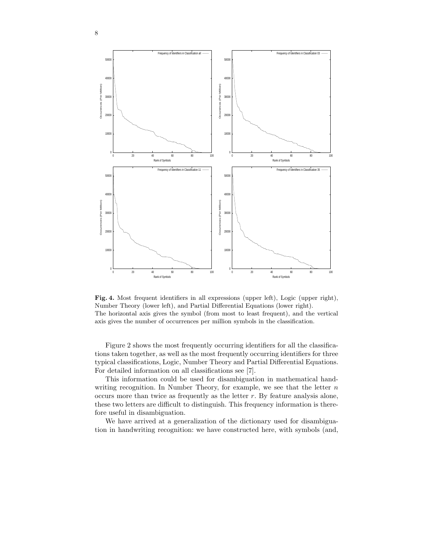

**Fig. 4.** Most frequent identifiers in all expressions (upper left), Logic (upper right), Number Theory (lower left), and Partial Differential Equations (lower right). The horizontal axis gives the symbol (from most to least frequent), and the vertical axis gives the number of occurrences per million symbols in the classification.

Figure 2 shows the most frequently occurring identifiers for all the classifications taken together, as well as the most frequently occurring identifiers for three typical classifications, Logic, Number Theory and Partial Differential Equations. For detailed information on all classifications see [7].

This information could be used for disambiguation in mathematical handwriting recognition. In Number Theory, for example, we see that the letter  $n$ occurs more than twice as frequently as the letter  $r$ . By feature analysis alone, these two letters are difficult to distinguish. This frequency information is therefore useful in disambiguation.

We have arrived at a generalization of the dictionary used for disambiguation in handwriting recognition: we have constructed here, with symbols (and,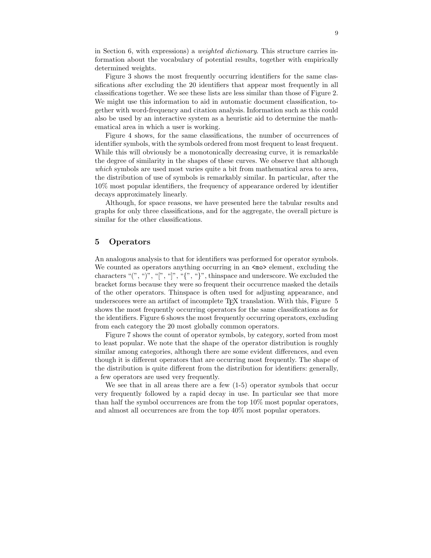in Section 6, with expressions) a *weighted dictionary*. This structure carries information about the vocabulary of potential results, together with empirically determined weights.

Figure 3 shows the most frequently occurring identifiers for the same classifications after excluding the 20 identifiers that appear most frequently in all classifications together. We see these lists are less similar than those of Figure 2. We might use this information to aid in automatic document classification, together with word-frequency and citation analysis. Information such as this could also be used by an interactive system as a heuristic aid to determine the mathematical area in which a user is working.

Figure 4 shows, for the same classifications, the number of occurrences of identifier symbols, with the symbols ordered from most frequent to least frequent. While this will obviously be a monotonically decreasing curve, it is remarkable the degree of similarity in the shapes of these curves. We observe that although *which* symbols are used most varies quite a bit from mathematical area to area, the distribution of use of symbols is remarkably similar. In particular, after the 10% most popular identifiers, the frequency of appearance ordered by identifier decays approximately linearly.

Although, for space reasons, we have presented here the tabular results and graphs for only three classifications, and for the aggregate, the overall picture is similar for the other classifications.

## **5 Operators**

An analogous analysis to that for identifiers was performed for operator symbols. We counted as operators anything occurring in an  $\langle \text{mod} \rangle$  element, excluding the characters " $($ ", " $)$ ", " $[$ ", " $]$ ", " $[$ ", " $]$ ", " $[$ ", thinspace and underscore. We excluded the bracket forms because they were so frequent their occurrence masked the details of the other operators. Thinspace is often used for adjusting appearance, and underscores were an artifact of incomplete TEX translation. With this, Figure 5 shows the most frequently occurring operators for the same classifications as for the identifiers. Figure 6 shows the most frequently occurring operators, excluding from each category the 20 most globally common operators.

Figure 7 shows the count of operator symbols, by category, sorted from most to least popular. We note that the shape of the operator distribution is roughly similar among categories, although there are some evident differences, and even though it is different operators that are occurring most frequently. The shape of the distribution is quite different from the distribution for identifiers: generally, a few operators are used very frequently.

We see that in all areas there are a few  $(1-5)$  operator symbols that occur very frequently followed by a rapid decay in use. In particular see that more than half the symbol occurrences are from the top 10% most popular operators, and almost all occurrences are from the top 40% most popular operators.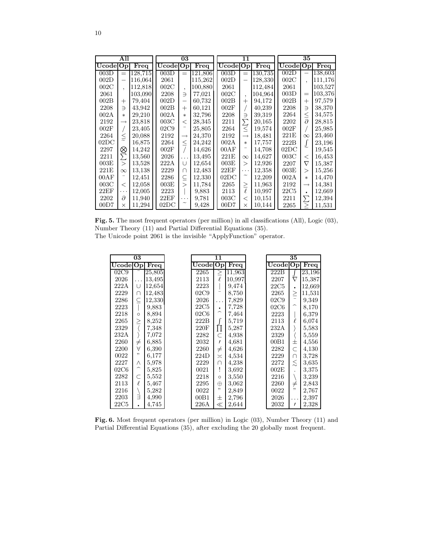|       | All                      |         |                 | 03                       |         |                 | 11             |         |                  | $\overline{35}$          |             |
|-------|--------------------------|---------|-----------------|--------------------------|---------|-----------------|----------------|---------|------------------|--------------------------|-------------|
| Ucode | Op                       | Freq    | Ucodel          | Op                       | Freq    | Ucodel          | O <sub>p</sub> | Freq    | $\mathbf{Ucode}$ | Op <sub>1</sub>          | Freq        |
| 003D  | $=$                      | 128,715 | 003D            | $=$                      | 121,806 | 003D            | $=$            | 130,735 | 002D             | $\overline{\phantom{0}}$ | $138{,}603$ |
| 002D  | $\overline{\phantom{0}}$ | 116,064 | 2061            |                          | 115,262 | 002D            |                | 128,330 | 002C             |                          | 111,176     |
| 002C  | $\overline{\phantom{a}}$ | 112,818 | $002\mathrm{C}$ | ,                        | 100,880 | 2061            |                | 112,484 | 2061             |                          | 103,527     |
| 2061  |                          | 103,090 | 2208            | $\Rightarrow$            | 77,021  | 002C            |                | 104,964 | 003D             | $=$                      | 103,376     |
| 002B  | $^{+}$                   | 79,404  | 002D            | $\overline{\phantom{0}}$ | 60,732  | 002B            | $^{+}$         | 94,172  | 002B             | $^{+}$                   | 97,579      |
| 2208  | $\Rightarrow$            | 43,942  | 002B            | $\overline{+}$           | 60,121  | 002F            |                | 40,239  | 2208             | $\Rightarrow$            | 38,370      |
| 002A  | $\ast$                   | 29,210  | 002A            | $\ast$                   | 32,796  | 2208            | $\Rightarrow$  | 39,319  | 2264             | $\leq$                   | 34,575      |
| 2192  | $\rightarrow$            | 23,818  | 003C            | $\,<\,$                  | 28,345  | 2211            | Σ              | 20,165  | 2202             | $\partial$               | 28,815      |
| 002F  |                          | 23,405  | 02C9            |                          | 25,805  | 2264            | $\leq$         | 19,574  | 002F             |                          | 25,985      |
| 2264  | $\leq$                   | 20,088  | 2192            | $\rightarrow$            | 24,370  | 2192            | $\rightarrow$  | 18,481  | 221E             | $\infty$                 | 23,460      |
| 02DC  |                          | 16,875  | 2264            | <                        | 24,242  | 002A            | $\ast$         | 17,757  | 222B             |                          | 23,196      |
| 2297  | ⊗                        | 14,242  | 002F            |                          | 14,626  | 00AF            |                | 14,708  | 02DC             |                          | 19,545      |
| 2211  | У                        | 13,560  | 2026            | .                        | 13,495  | 221E            | $\infty$       | 14,627  | 003C             | $\,<\,$                  | 16,453      |
| 003E  | $\geq$                   | 13,528  | 222A            | U                        | 12,654  | 003E            | $\rm{>}$       | 12,926  | 2207             | $\mathbf \nabla$         | 15,387      |
| 221E  | $\infty$                 | 13,138  | 2229            | ∩                        | 12,483  | 22EF            | .              | 12,358  | 003E             | $\rm{>}$                 | 15,256      |
| 00AF  |                          | 12,451  | 2286            | $\subseteq$              | 12,330  | $02\mathrm{DC}$ |                | 12,209  | 002A             | $\ast$                   | 14,470      |
| 003C  | $\,<\,$                  | 12,058  | $003\mathrm{E}$ | $\mathbf{L}$             | 11,784  | 2265            | ≥              | 11,963  | 2192             | $\rightarrow$            | 14,381      |
| 22EF  | .                        | 12,005  | 2223            |                          | 9,883   | 2113            | $\ell$         | 10.997  | 22C5             | $\blacksquare$           | 12,669      |
| 2202  | д                        | 11,940  | 22EF            | .                        | 9,781   | 003C            | $\,<\,$        | 10,151  | 2211             | Σ                        | 12,394      |
| 00D7  | X                        | 11,294  | 02DC            |                          | 9,428   | 00D7            | X              | 10,144  | 2265             | >                        | 11,531      |

Fig. 5. The most frequent operators (per million) in all classifications (All), Logic (03), Number Theory (11) and Partial Differential Equations (35).

|  |  |  |  |  |  |  | The Unicode point 2061 is the invisible "ApplyFunction" operator. |  |
|--|--|--|--|--|--|--|-------------------------------------------------------------------|--|
|--|--|--|--|--|--|--|-------------------------------------------------------------------|--|

|          | 03      |        |                              | 11                  |        |                           |                         |        |
|----------|---------|--------|------------------------------|---------------------|--------|---------------------------|-------------------------|--------|
| Ucode Op |         | Freq   | $\overline{\text{Ucode}}$ Op |                     | Freq   | $\overline{\text{Ucode}}$ |                         | Freq   |
| 02C9     |         | 25,805 | 2265                         | $\geq$              | 11,963 | 222B                      |                         | 23,196 |
| 2026     |         | 13,495 | 2113                         | ł.                  | 10,997 | 2207                      | V                       | 15,387 |
| 222A     | U       | 12,654 | 2223                         |                     | 9,474  | 22C5                      | $\blacksquare$          | 12,669 |
| 2229     | ∩       | 12,483 | 02C9                         | -                   | 8,750  | 2265                      | $\geq$                  | 11,531 |
| 2286     | ⊆       | 12,330 | 2026                         | .                   | 7,829  | 02C9                      |                         | 9,349  |
| 2223     |         | 9,883  | 22C5                         | $\blacksquare$      | 7,728  | 02C6                      | $\widehat{\phantom{m}}$ | 8,170  |
| 2218     | $\circ$ | 8,894  | 02C6                         | $\hat{\phantom{1}}$ | 7,464  | 2223                      |                         | 6,379  |
| 2265     | $\geq$  | 8,252  | 222B                         |                     | 5,719  | 2113                      | ł.                      | 6,074  |
| 2329     |         | 7,348  | 220F                         | ĪI                  | 5,287  | 232A                      |                         | 5,583  |
| 232A     |         | 7,072  | 2282                         | C                   | 4,938  | 2329                      |                         | 5,559  |
| 2260     | $\neq$  | 6,885  | 2032                         | $\prime$            | 4,681  | 00B1                      | 士                       | 4,556  |
| 2200     | Α       | 6,390  | 2260                         | $\neq$              | 4,626  | 2282                      | C                       | 4,130  |
| 0022     | ,,      | 6,177  | 224D                         | $\asymp$            | 4,534  | 2229                      | ∩                       | 3,728  |
| 2227     | Λ       | 5,978  | 2229                         | ∩                   | 4,238  | 2272                      | $\lesssim$              | 3,635  |
| 02C6     | ∼       | 5,825  | 0021                         | Ţ                   | 3,692  | 002E                      |                         | 3,375  |
| 2282     | C       | 5,552  | 2218                         | $\circ$             | 3,550  | 2216                      |                         | 3,239  |
| 2113     | ł.      | 5,467  | 2295                         | $\oplus$            | 3,062  | 2260                      | $\neq$                  | 2,843  |
| 2216     |         | 5,282  | 0022                         | "                   | 2,849  | 0022                      | , ,                     | 2,767  |
| 2203     | Е       | 4,990  | 00B1                         | 士                   | 2,796  | 2026                      | .                       | 2,397  |
| 22C5     |         | 4,745  | 226A                         | $\ll$               | 2,644  | 2032                      | $\prime$                | 2,328  |

Fig. 6. Most frequent operators (per million) in Logic (03), Number Theory (11) and Partial Differential Equations (35), after excluding the 20 globally most frequent.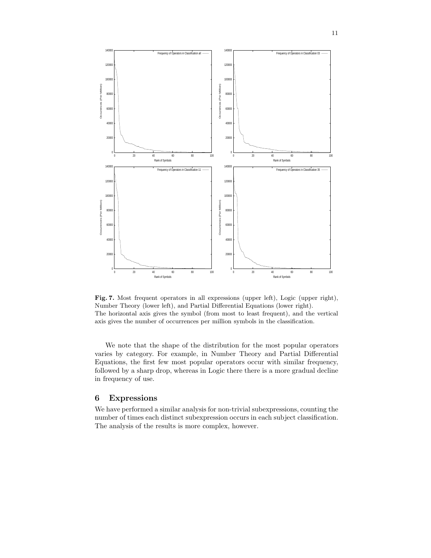

Fig. 7. Most frequent operators in all expressions (upper left), Logic (upper right), Number Theory (lower left), and Partial Differential Equations (lower right). The horizontal axis gives the symbol (from most to least frequent), and the vertical axis gives the number of occurrences per million symbols in the classification.

We note that the shape of the distribution for the most popular operators varies by category. For example, in Number Theory and Partial Differential Equations, the first few most popular operators occur with similar frequency, followed by a sharp drop, whereas in Logic there there is a more gradual decline in frequency of use.

#### **6 Expressions**

We have performed a similar analysis for non-trivial subexpressions, counting the number of times each distinct subexpression occurs in each subject classification. The analysis of the results is more complex, however.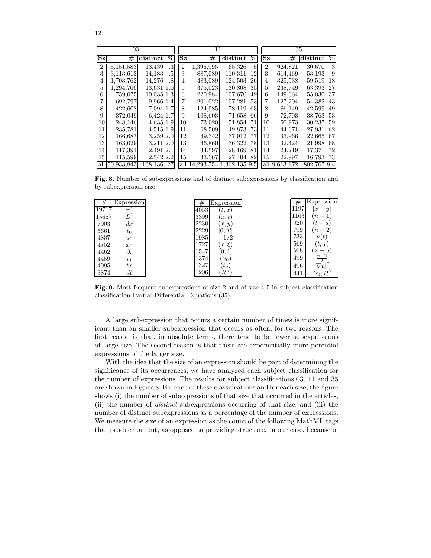|                        | 03             |             |    |                  |                                  |          |                                                                     |                        |                 | 35          |      |
|------------------------|----------------|-------------|----|------------------|----------------------------------|----------|---------------------------------------------------------------------|------------------------|-----------------|-------------|------|
| $\mathbf{S}\mathbf{z}$ | $_{\rm \#}$    | distinct    | %  | $S_{\mathbf{Z}}$ | $^{\#}$                          | distinct | $% \mathcal{P}_{\mathrm{C}}^{\mathrm{C}}(\mathcal{P}_{\mathrm{C}})$ | $\overline{\text{Sz}}$ | $\overline{\#}$ | distinct    | $\%$ |
| $\overline{2}$         | 5,151,583      | 13,439      | .3 | 2                | 1,396,996                        | 65,326   | 5                                                                   | $\overline{2}$         | 924,821         | 30,670      | 3    |
| 3                      | 3,113,613      | 14,183      | .5 | 3                | 887,089                          | 110,311  | 12                                                                  | 3                      | 614,469         | 53,193      | 9    |
| 4                      | 1,703,762      | 14,276      | .8 | 4                | 483,089                          | 124,503  | 26                                                                  | 4                      | 325,538         | 59,519      | 18   |
| 5                      | 1,294,706      | 13,631 1.0  |    | 5                | 375,023                          | 130,808  | 35                                                                  | 5                      | 238,749         | 63,393      | 27   |
| 6                      | 759,075        | 10,035 1.3  |    | 6                | 220,984                          | 107,670  | 49                                                                  | 6                      | 149,664         | 55,030      | 37   |
| 7                      | 692,797        | 9,966 1.4   |    | 7                | 201,022                          | 107,281  | 53                                                                  |                        | 127,204         | 54,382      | 43   |
| 8                      | 422,608        | 7.094 1.7   |    | 8                | 124,985                          | 78,119   | 631                                                                 | 8                      | 86,149          | 42,599      | 49   |
| 9                      | 372,049        | 6,424 1.7   |    | 9                | 108,603                          | 71,658   | 66                                                                  | 9                      | 72,703          | 38,763      | 53   |
| 10                     | 248,146        | 4,635 1.9   |    | 10               | 73,020                           | 51,854   | 71                                                                  | 10                     | 50,973          | 30,237      | 59   |
| 11                     | 235,781        | 4,515 1.9   |    | 11               | 68,509                           | 49,873   | 73                                                                  | 11                     | 44,671          | 27,931      | 62   |
| 12                     | 166,687        | 3,259 2.0   |    | 12               | 49,342                           | 37,912   | 77                                                                  | 12                     | 33,966          | 22,665      | 67   |
| 13                     | 163,029        | 3,211 2.0   |    | 13               | 46,860                           | 36,322   | 78                                                                  | 13                     | 32,424          | 21,998      | 68   |
| 14                     | 117,391        | 2,491 2.1   |    | 14               | 34,597                           | 28,169   | 81                                                                  | 14                     | 24,219          | 17,371      | 72   |
| 15                     | 115,599        | 2,542 2.2   |    | 15               | 33,367                           | 27,404   | 82                                                                  | 15                     | 22,997          | 16,793      | 73   |
|                        | all 50,933,843 | 138,136 .27 |    |                  | all 14, 293, 554 1, 362, 135 9.5 |          |                                                                     |                        | all 9.613,172   | 802,767 8.4 |      |

Fig. 8. Number of subexpressions and of distinct subexpressions by classification and by subexpression size

| $^{\#}$ | <b>Expression</b> | Expression<br>#   | #    | Expression                                                  |
|---------|-------------------|-------------------|------|-------------------------------------------------------------|
| 19717   |                   | 4053<br>[t, x]    | 1197 | $ x-y $                                                     |
| 15657   | $L^2$             | 3399<br>[x,t]     | 1163 | $\,n$                                                       |
| 7903    | dx                | 2230<br>(x, y)    | 920  | S<br>-                                                      |
| 5661    | $t_0$             | 2229<br>[0,T]     | 799  | $\left 2\right\rangle$<br>$\,n$<br>$\overline{\phantom{0}}$ |
| 4837    | $u_0$             | 1985<br>$-1/2$    | 733  | u(t)                                                        |
| 4752    | $x_0$             | 1727<br>$(x,\xi)$ | 569  | $t$ , .                                                     |
| 4462    | $\partial_t$      | 1547<br>[0,1]     | 508  | $\boldsymbol{x}$<br>$y$ )<br>-                              |
| 4459    | ij                | 1374<br>$[x_0]$   | 499  | $\frac{n-2}{2}$                                             |
| 4095    | tx                | 1327<br>$(t_0)$   | 496  | $\nabla u$                                                  |
| 3874    | dt                | $R^n$<br>1206     | 441  | $\varOmega_0; R^3$                                          |

Fig. 9. Most frequent subexpressions of size 2 and of size 4-5 in subject classification classification Partial Differential Equations (35).

A large subexpression that occurs a certain number of times is more significant than an smaller subexpression that occurs as often, for two reasons. The first reason is that, in absolute terms, there tend to be fewer subexpressions of large size. The second reason is that there are exponentially more potential expressions of the larger size.

With the idea that the size of an expression should be part of determining the significance of its occurrences, we have analyzed each subject classification for the number of expressions. The results for subject classifications 03, 11 and 35 are shown in Figure 8. For each of these classifications and for each size, the figure shows (i) the number of subexpressions of that size that occurred in the articles, (ii) the number of *distinct* subexpressions occurring of that size, and (iii) the number of distinct subexpressions as a percentage of the number of expressions. We measure the size of an expression as the count of the following MathML tags that produce output, as opposed to providing structure. In our case, because of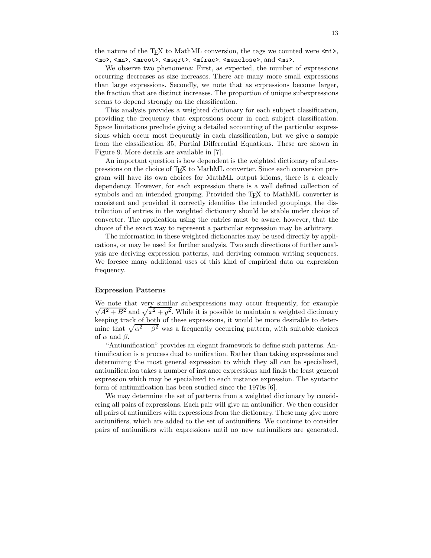the nature of the T<sub>E</sub>X to MathML conversion, the tags we counted were  $\langle \text{mi}\rangle$ , <mo>, <mn>, <mroot>, <msqrt>, <mfrac>, <menclose>, and <ms>.

We observe two phenomena: First, as expected, the number of expressions occurring decreases as size increases. There are many more small expressions than large expressions. Secondly, we note that as expressions become larger, the fraction that are distinct increases. The proportion of unique subexpressions seems to depend strongly on the classification.

This analysis provides a weighted dictionary for each subject classification, providing the frequency that expressions occur in each subject classification. Space limitations preclude giving a detailed accounting of the particular expressions which occur most frequently in each classification, but we give a sample from the classification 35, Partial Differential Equations. These are shown in Figure 9. More details are available in [7].

An important question is how dependent is the weighted dictionary of subexpressions on the choice of TEX to MathML converter. Since each conversion program will have its own choices for MathML output idioms, there is a clearly dependency. However, for each expression there is a well defined collection of symbols and an intended grouping. Provided the T<sub>E</sub>X to MathML converter is consistent and provided it correctly identifies the intended groupings, the distribution of entries in the weighted dictionary should be stable under choice of converter. The application using the entries must be aware, however, that the choice of the exact way to represent a particular expression may be arbitrary.

The information in these weighted dictionaries may be used directly by applications, or may be used for further analysis. Two such directions of further analysis are deriving expression patterns, and deriving common writing sequences. We foresee many additional uses of this kind of empirical data on expression frequency.

#### **Expression Patterns**

We note that very similar subexpressi ons may occur frequently, for example  $\sqrt{A^2 + B^2}$  and  $\sqrt{x^2 + y^2}$ . While it is possible to maintain a weighted dictionary keeping track of both of these expressions, it would be more desirable to determine that  $\sqrt{\alpha^2 + \beta^2}$  was a frequently occurring pattern, with suitable choices of  $\alpha$  and  $\beta$ .

"Antiunification" provides an elegant framework to define such patterns. Antiunification is a process dual to unification. Rather than taking expressions and determining the most general expression to which they all can be specialized, antiunification takes a number of instance expressions and finds the least general expression which may be specialized to each instance expression. The syntactic form of antiunification has been studied since the 1970s [6].

We may determine the set of patterns from a weighted dictionary by considering all pairs of expressions. Each pair will give an antiunifier. We then consider all pairs of antiunifiers with expressions from the dictionary. These may give more antiunifiers, which are added to the set of antiunifiers. We continue to consider pairs of antiunifiers with expressions until no new antiunifiers are generated.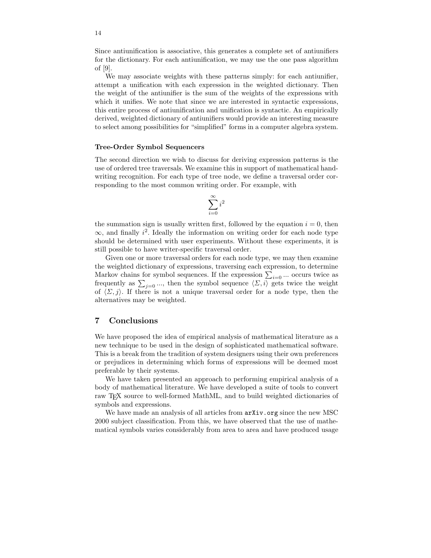Since antiunification is associative, this generates a complete set of antiunifiers for the dictionary. For each antiunification, we may use the one pass algorithm of [9].

We may associate weights with these patterns simply: for each antiunifier, attempt a unification with each expression in the weighted dictionary. Then the weight of the antiunifier is the sum of the weights of the expressions with which it unifies. We note that since we are interested in syntactic expressions, this entire process of antiunification and unification is syntactic. An empirically derived, weighted dictionary of antiunifiers would provide an interesting measure to select among possibilities for "simplified" forms in a computer algebra system.

#### **Tree-Order Symbol Sequencers**

The second direction we wish to discuss for deriving expression patterns is the use of ordered tree traversals. We examine this in support of mathematical handwriting recognition. For each type of tree node, we define a traversal order corresponding to the most common writing order. For example, with

$$
\sum_{i=0}^{\infty} i^2
$$

the summation sign is usually written first, followed by the equation  $i = 0$ , then  $\infty$ , and finally  $i^2$ . Ideally the information on writing order for each node type should be determined with user experiments. Without these experiments, it is still possible to have writer-specific traversal order.

Given one or more traversal orders for each node type, we may then examine the weighted dictionary of expressions, traversing each expression, to determine Markov chains for symbol sequences. If the expression  $\sum_{i=0}^{\infty}$  ... occurs twice as frequently as  $\sum_{j=0}$  ..., then the symbol sequence  $\langle \Sigma, i \rangle$  gets twice the weight of  $\langle \Sigma, j \rangle$ . If there is not a unique traversal order for a node type, then the alternatives may be weighted.

## **7 Conclusions**

We have proposed the idea of empirical analysis of mathematical literature as a new technique to be used in the design of sophisticated mathematical software. This is a break from the tradition of system designers using their own preferences or prejudices in determining which forms of expressions will be deemed most preferable by their systems.

We have taken presented an approach to performing empirical analysis of a body of mathematical literature. We have developed a suite of tools to convert raw T<sub>EX</sub> source to well-formed MathML, and to build weighted dictionaries of symbols and expressions.

We have made an analysis of all articles from  $arXiv.org$  since the new MSC 2000 subject classification. From this, we have observed that the use of mathematical symbols varies considerably from area to area and have produced usage